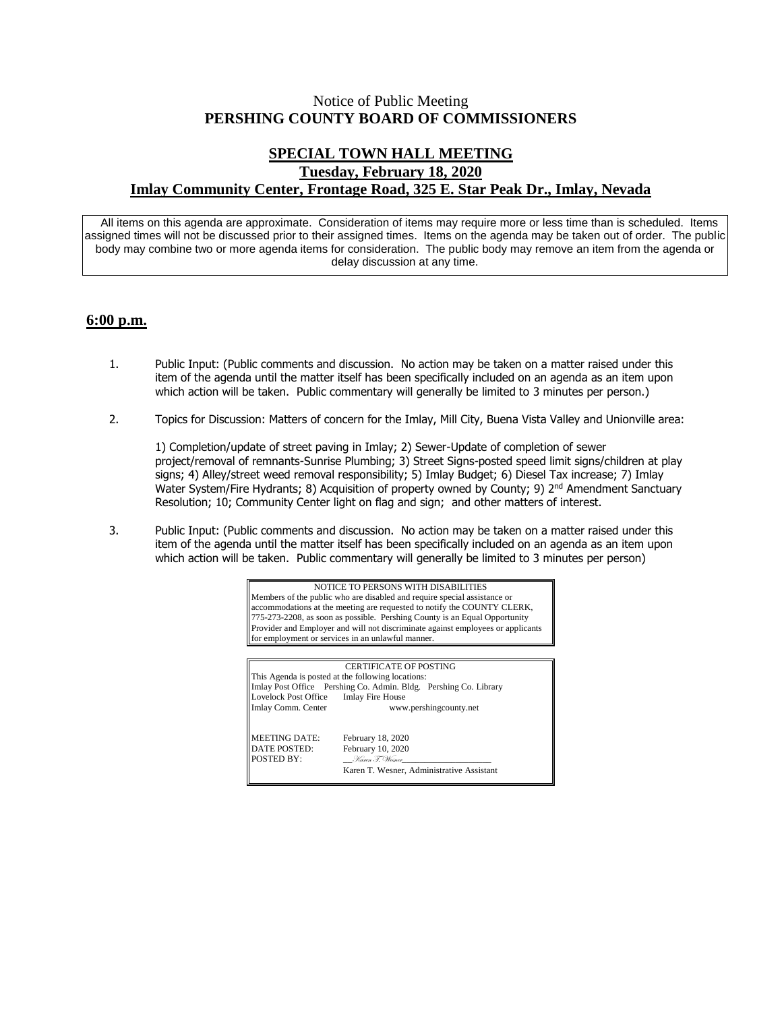## Notice of Public Meeting **PERSHING COUNTY BOARD OF COMMISSIONERS**

## **SPECIAL TOWN HALL MEETING Tuesday, February 18, 2020 Imlay Community Center, Frontage Road, 325 E. Star Peak Dr., Imlay, Nevada**

All items on this agenda are approximate. Consideration of items may require more or less time than is scheduled. Items assigned times will not be discussed prior to their assigned times. Items on the agenda may be taken out of order. The public body may combine two or more agenda items for consideration. The public body may remove an item from the agenda or delay discussion at any time.

## **6:00 p.m.**

- 1. Public Input: (Public comments and discussion. No action may be taken on a matter raised under this item of the agenda until the matter itself has been specifically included on an agenda as an item upon which action will be taken. Public commentary will generally be limited to 3 minutes per person.)
- 2. Topics for Discussion: Matters of concern for the Imlay, Mill City, Buena Vista Valley and Unionville area:

1) Completion/update of street paving in Imlay; 2) Sewer-Update of completion of sewer project/removal of remnants-Sunrise Plumbing; 3) Street Signs-posted speed limit signs/children at play signs; 4) Alley/street weed removal responsibility; 5) Imlay Budget; 6) Diesel Tax increase; 7) Imlay Water System/Fire Hydrants; 8) Acquisition of property owned by County; 9) 2<sup>nd</sup> Amendment Sanctuary Resolution; 10; Community Center light on flag and sign; and other matters of interest.

3. Public Input: (Public comments and discussion. No action may be taken on a matter raised under this item of the agenda until the matter itself has been specifically included on an agenda as an item upon which action will be taken. Public commentary will generally be limited to 3 minutes per person)

> NOTICE TO PERSONS WITH DISABILITIES Members of the public who are disabled and require special assistance or accommodations at the meeting are requested to notify the COUNTY CLERK, 775-273-2208, as soon as possible. Pershing County is an Equal Opportunity Provider and Employer and will not discriminate against employees or applicants for employment or services in an unlawful manner.

CERTIFICATE OF POSTING This Agenda is posted at the following locations: Imlay Post Office Pershing Co. Admin. Bldg. Pershing Co. Library Lovelock Post Office Imlay Fire House<br>Imlay Comm. Center www www.pershingcounty.net MEETING DATE: February 18, 2020<br>DATE POSTED: February 10, 2020 February 10, 2020 POSTED BY: \_\_Karen T. Wesner\_\_\_\_\_\_\_\_\_\_\_\_\_\_\_\_\_\_\_\_ Karen T. Wesner, Administrative Assistant